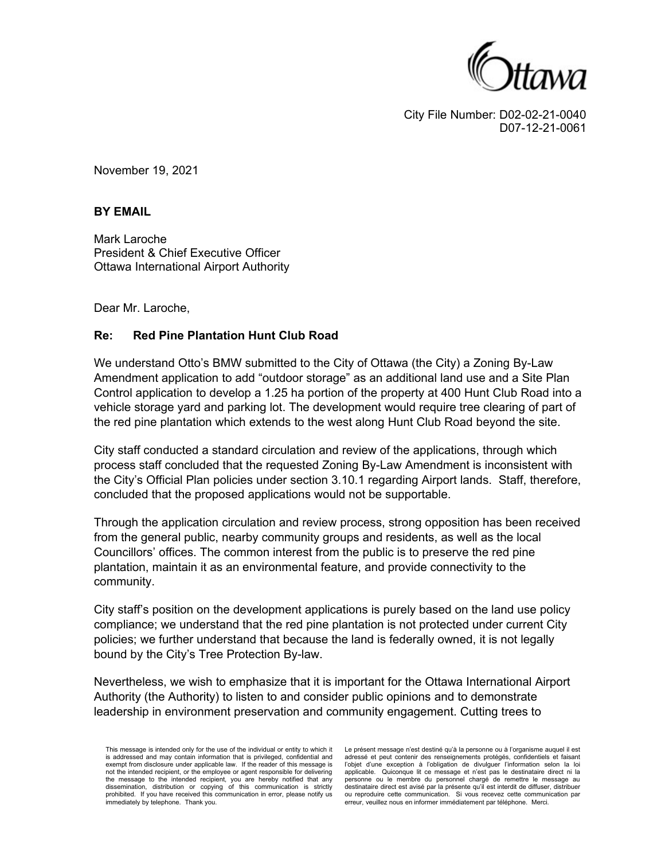

City File Number: D02-02-21-0040 D07-12-21-0061

November 19, 2021

## **BY EMAIL**

Mark Laroche President & Chief Executive Officer Ottawa International Airport Authority

Dear Mr. Laroche,

## **Re: Red Pine Plantation Hunt Club Road**

We understand Otto's BMW submitted to the City of Ottawa (the City) a Zoning By-Law Amendment application to add "outdoor storage" as an additional land use and a Site Plan Control application to develop a 1.25 ha portion of the property at 400 Hunt Club Road into a vehicle storage yard and parking lot. The development would require tree clearing of part of the red pine plantation which extends to the west along Hunt Club Road beyond the site.

City staff conducted a standard circulation and review of the applications, through which process staff concluded that the requested Zoning By-Law Amendment is inconsistent with the City's Official Plan policies under section 3.10.1 regarding Airport lands. Staff, therefore, concluded that the proposed applications would not be supportable.

Through the application circulation and review process, strong opposition has been received from the general public, nearby community groups and residents, as well as the local Councillors' offices. The common interest from the public is to preserve the red pine plantation, maintain it as an environmental feature, and provide connectivity to the community.

City staff's position on the development applications is purely based on the land use policy compliance; we understand that the red pine plantation is not protected under current City policies; we further understand that because the land is federally owned, it is not legally bound by the City's Tree Protection By-law.

Nevertheless, we wish to emphasize that it is important for the Ottawa International Airport Authority (the Authority) to listen to and consider public opinions and to demonstrate leadership in environment preservation and community engagement. Cutting trees to

This message is intended only for the use of the individual or entity to which it is addressed and may contain information that is privileged, confidential and exempt from disclosure under applicable law. If the reader of this message is not the intended recipient, or the employee or agent responsible for delivering the message to the intended recipient, you are hereby notified that any dissemination, distribution or copying of this communication is strictly prohibited. If you have received this communication in error, please notify us immediately by telephone. Thank you.

Le présent message n'est destiné qu'à la personne ou à l'organisme auquel il est adressé et peut contenir des renseignements protégés, confidentiels et faisant l'objet d'une exception à l'obligation de divulguer l'information selon la loi applicable. Quiconque lit ce message et n'est pas le destinataire direct ni la personne ou le membre du personnel chargé de remettre le message au destinataire direct est avisé par la présente qu'il est interdit de diffuser, distribuer ou reproduire cette communication. Si vous recevez cette communication par erreur, veuillez nous en informer immédiatement par téléphone. Merci.